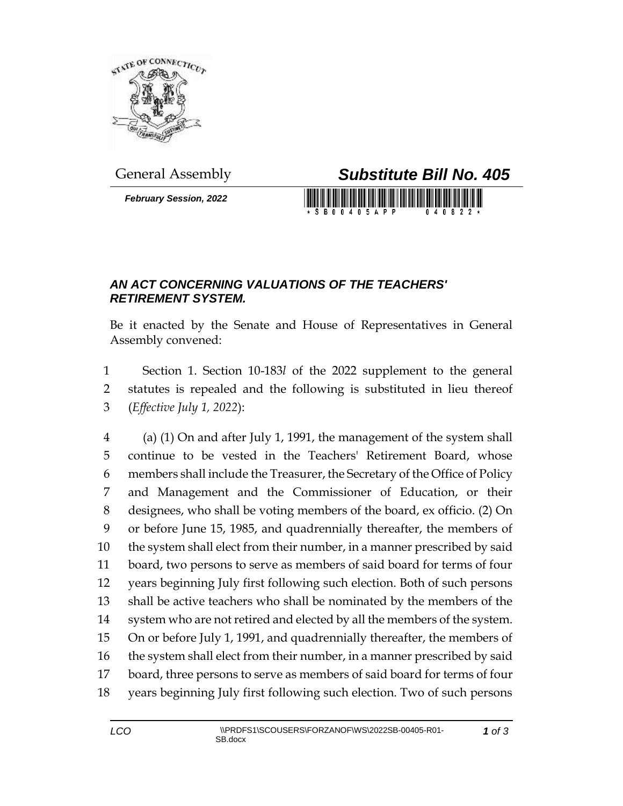

*February Session, 2022*



## *AN ACT CONCERNING VALUATIONS OF THE TEACHERS' RETIREMENT SYSTEM.*

Be it enacted by the Senate and House of Representatives in General Assembly convened:

 Section 1. Section 10-183*l* of the 2022 supplement to the general statutes is repealed and the following is substituted in lieu thereof (*Effective July 1, 2022*):

 (a) (1) On and after July 1, 1991, the management of the system shall continue to be vested in the Teachers' Retirement Board, whose members shall include the Treasurer, the Secretary of the Office of Policy and Management and the Commissioner of Education, or their designees, who shall be voting members of the board, ex officio. (2) On or before June 15, 1985, and quadrennially thereafter, the members of the system shall elect from their number, in a manner prescribed by said board, two persons to serve as members of said board for terms of four years beginning July first following such election. Both of such persons shall be active teachers who shall be nominated by the members of the system who are not retired and elected by all the members of the system. On or before July 1, 1991, and quadrennially thereafter, the members of the system shall elect from their number, in a manner prescribed by said board, three persons to serve as members of said board for terms of four years beginning July first following such election. Two of such persons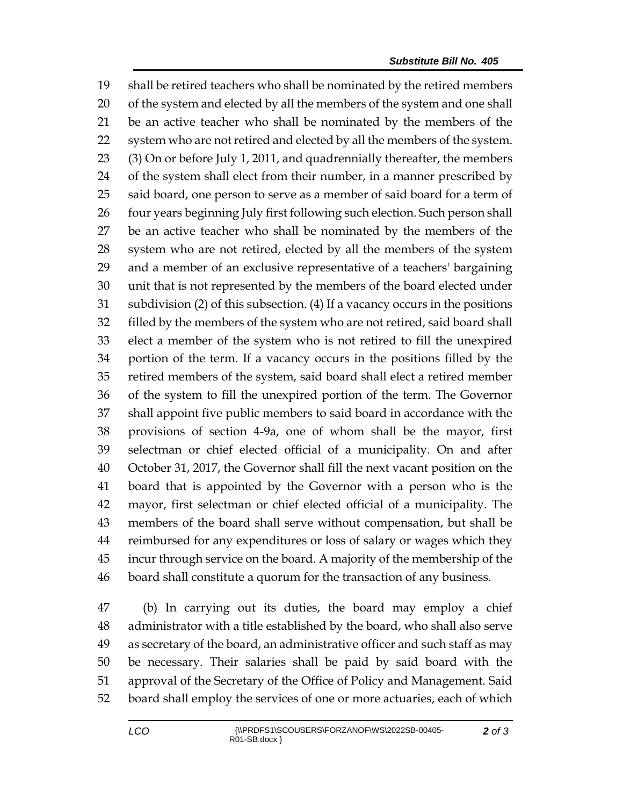shall be retired teachers who shall be nominated by the retired members of the system and elected by all the members of the system and one shall be an active teacher who shall be nominated by the members of the system who are not retired and elected by all the members of the system. (3) On or before July 1, 2011, and quadrennially thereafter, the members of the system shall elect from their number, in a manner prescribed by 25 said board, one person to serve as a member of said board for a term of 26 four years beginning July first following such election. Such person shall be an active teacher who shall be nominated by the members of the system who are not retired, elected by all the members of the system and a member of an exclusive representative of a teachers' bargaining unit that is not represented by the members of the board elected under subdivision (2) of this subsection. (4) If a vacancy occurs in the positions filled by the members of the system who are not retired, said board shall elect a member of the system who is not retired to fill the unexpired portion of the term. If a vacancy occurs in the positions filled by the retired members of the system, said board shall elect a retired member of the system to fill the unexpired portion of the term. The Governor shall appoint five public members to said board in accordance with the provisions of section 4-9a, one of whom shall be the mayor, first selectman or chief elected official of a municipality. On and after October 31, 2017, the Governor shall fill the next vacant position on the board that is appointed by the Governor with a person who is the mayor, first selectman or chief elected official of a municipality. The members of the board shall serve without compensation, but shall be reimbursed for any expenditures or loss of salary or wages which they incur through service on the board. A majority of the membership of the board shall constitute a quorum for the transaction of any business.

 (b) In carrying out its duties, the board may employ a chief administrator with a title established by the board, who shall also serve as secretary of the board, an administrative officer and such staff as may be necessary. Their salaries shall be paid by said board with the approval of the Secretary of the Office of Policy and Management. Said board shall employ the services of one or more actuaries, each of which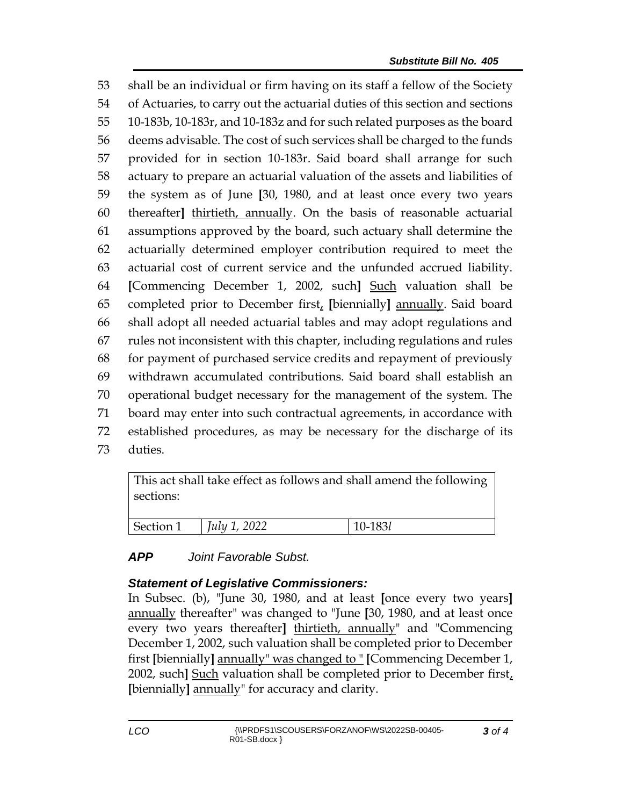shall be an individual or firm having on its staff a fellow of the Society of Actuaries, to carry out the actuarial duties of this section and sections 10-183b, 10-183r, and 10-183z and for such related purposes as the board deems advisable. The cost of such services shall be charged to the funds provided for in section 10-183r. Said board shall arrange for such actuary to prepare an actuarial valuation of the assets and liabilities of the system as of June **[**30, 1980, and at least once every two years thereafter**]** thirtieth, annually. On the basis of reasonable actuarial assumptions approved by the board, such actuary shall determine the actuarially determined employer contribution required to meet the actuarial cost of current service and the unfunded accrued liability. **[**Commencing December 1, 2002, such**]** Such valuation shall be completed prior to December first, **[**biennially**]** annually. Said board shall adopt all needed actuarial tables and may adopt regulations and rules not inconsistent with this chapter, including regulations and rules for payment of purchased service credits and repayment of previously withdrawn accumulated contributions. Said board shall establish an operational budget necessary for the management of the system. The board may enter into such contractual agreements, in accordance with established procedures, as may be necessary for the discharge of its 73 duties.

| This act shall take effect as follows and shall amend the following<br>sections: |                     |         |
|----------------------------------------------------------------------------------|---------------------|---------|
| Section 1                                                                        | <i>July 1, 2022</i> | 10-1831 |

## *APP Joint Favorable Subst.*

## *Statement of Legislative Commissioners:*

In Subsec. (b), "June 30, 1980, and at least **[**once every two years**]**  annually thereafter" was changed to "June **[**30, 1980, and at least once every two years thereafter**]** thirtieth, annually" and "Commencing December 1, 2002, such valuation shall be completed prior to December first **[**biennially**]** annually" was changed to " **[**Commencing December 1, 2002, such**]** Such valuation shall be completed prior to December first, **[**biennially**]** annually" for accuracy and clarity.